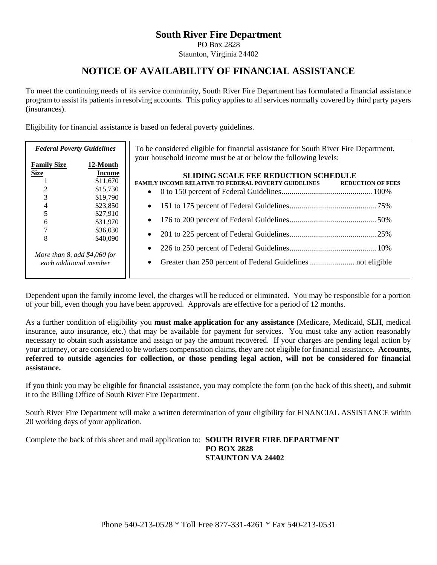### **South River Fire Department**

PO Box 2828

Staunton, Virginia 24402

## **NOTICE OF AVAILABILITY OF FINANCIAL ASSISTANCE**

To meet the continuing needs of its service community, South River Fire Department has formulated a financial assistance program to assist its patients in resolving accounts. This policy applies to all services normally covered by third party payers (insurances).

Eligibility for financial assistance is based on federal poverty guidelines.

| <b>Federal Poverty Guidelines</b>                                                                         |                                                                                                                    | To be considered eligible for financial assistance for South River Fire Department,<br>your household income must be at or below the following levels: |                          |  |  |
|-----------------------------------------------------------------------------------------------------------|--------------------------------------------------------------------------------------------------------------------|--------------------------------------------------------------------------------------------------------------------------------------------------------|--------------------------|--|--|
| <b>Family Size</b><br><b>Size</b><br>6<br>8<br>More than $8$ , add $$4,060$ for<br>each additional member | 12-Month<br>Income<br>\$11,670<br>\$15,730<br>\$19,790<br>\$23,850<br>\$27,910<br>\$31,970<br>\$36,030<br>\$40,090 | <b>SLIDING SCALE FEE REDUCTION SCHEDULE</b><br><b>FAMILY INCOME RELATIVE TO FEDERAL POVERTY GUIDELINES</b><br>$\bullet$<br>٠<br>$\bullet$              | <b>REDUCTION OF FEES</b> |  |  |
|                                                                                                           |                                                                                                                    |                                                                                                                                                        |                          |  |  |

Dependent upon the family income level, the charges will be reduced or eliminated. You may be responsible for a portion of your bill, even though you have been approved. Approvals are effective for a period of 12 months.

As a further condition of eligibility you **must make application for any assistance** (Medicare, Medicaid, SLH, medical insurance, auto insurance, etc.) that may be available for payment for services. You must take any action reasonably necessary to obtain such assistance and assign or pay the amount recovered. If your charges are pending legal action by your attorney, or are considered to be workers compensation claims, they are not eligible for financial assistance. **Accounts, referred to outside agencies for collection, or those pending legal action, will not be considered for financial assistance.**

If you think you may be eligible for financial assistance, you may complete the form (on the back of this sheet), and submit it to the Billing Office of South River Fire Department.

South River Fire Department will make a written determination of your eligibility for FINANCIAL ASSISTANCE within 20 working days of your application.

Complete the back of this sheet and mail application to: **SOUTH RIVER FIRE DEPARTMENT PO BOX 2828 STAUNTON VA 24402**